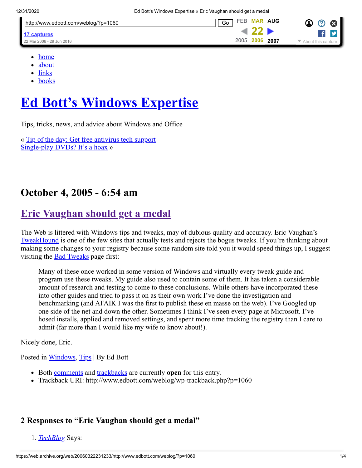| http://www.edbott.com/weblog/?p=1060 | Go        | FEB MAR AUG |      | $\propto$               |
|--------------------------------------|-----------|-------------|------|-------------------------|
| 17 captures                          |           |             |      |                         |
| 22 Mar 2006 - 29 Jun 2016            | 2005 2006 |             | 2007 | ▼<br>About this capture |

- [home](https://web.archive.org/web/20060322231233/http://www.edbott.com/weblog)
- [about](https://web.archive.org/web/20060322231233/http://www.edbott.com/weblog/?page_id=988)
- [links](https://web.archive.org/web/20060322231233/http://www.edbott.com/weblog)
- [books](https://web.archive.org/web/20060322231233/http://www.edbott.com/weblog/?page_id=993)

# **[Ed Bott's Windows Expertise](https://web.archive.org/web/20060322231233/http://www.edbott.com/weblog)**

Tips, tricks, news, and advice about Windows and Office

« [Tip of the day: Get free antivirus tech support](https://web.archive.org/web/20060322231233/http://www.edbott.com/weblog/?p=1059) [Single-play DVDs? It's a hoax](https://web.archive.org/web/20060322231233/http://www.edbott.com/weblog/?p=1061) »

# **October 4, 2005 - 6:54 am**

# **[Eric Vaughan should get a medal](https://web.archive.org/web/20060322231233/http://www.edbott.com/weblog/?p=1060)**

The Web is littered with Windows tips and tweaks, may of dubious quality and accuracy. Eric Vaughan's [TweakHound](https://web.archive.org/web/20060322231233/http://www.tweakhound.com/xp/WindowsXP.htm) is one of the few sites that actually tests and rejects the bogus tweaks. If you're thinking about making some changes to your registry because some random site told you it would speed things up, I suggest visiting the **[Bad Tweaks](https://web.archive.org/web/20060322231233/http://www.tweakhound.com/xp/xptweaks/supertweaks11.htm)** page first:

Many of these once worked in some version of Windows and virtually every tweak guide and program use these tweaks. My guide also used to contain some of them. It has taken a considerable amount of research and testing to come to these conclusions. While others have incorporated these into other guides and tried to pass it on as their own work I've done the investigation and benchmarking (and AFAIK I was the first to publish these en masse on the web). I've Googled up one side of the net and down the other. Sometimes I think I've seen every page at Microsoft. I've hosed installs, applied and removed settings, and spent more time tracking the registry than I care to admit (far more than I would like my wife to know about!).

Nicely done, Eric.

Posted in [Windows,](https://web.archive.org/web/20060322231233/http://www.edbott.com/weblog/?cat=2) [Tips](https://web.archive.org/web/20060322231233/http://www.edbott.com/weblog/?cat=3) | By Ed Bott

- Both <u>comments</u> and [trackbacks](https://web.archive.org/web/20060322231233/http://www.edbott.com/weblog/wp-trackback.php?p=1060) are currently **open** for this entry.
- Trackback URI: http://www.edbott.com/weblog/wp-trackback.php?p=1060

### **2 Responses to "Eric Vaughan should get a medal"**

<span id="page-0-0"></span>1. *[TechBlog](https://web.archive.org/web/20060322231233/http://blogs.chron.com/techblog/archives/2005/10/tweaks_both_bri.html)* Says: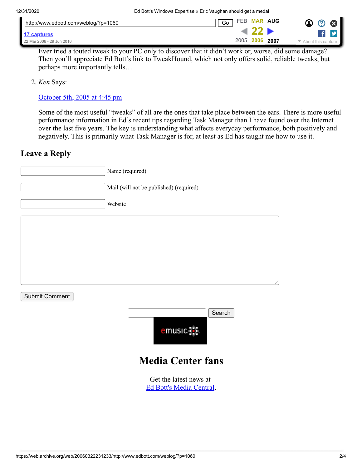| http://www.edbott.com/weblog/?p=1060 | Go        | FEB MAR AUG |      | $\boldsymbol{\Omega}$<br>$\propto$ |
|--------------------------------------|-----------|-------------|------|------------------------------------|
| 17 captures                          |           |             |      |                                    |
| 22 Mar 2006 - 29 Jun 2016            | 2005 2006 |             | 2007 | ▼<br>bout this capture             |

Ever tried a touted tweak to your PC only to discover that it didn't work or, worse, did some damage? Then you'll appreciate Ed Bott's link to TweakHound, which not only offers solid, reliable tweaks, but perhaps more importantly tells…

<span id="page-1-1"></span>2. *Ken* Says:

#### [October 5th, 2005 at 4:45 pm](#page-1-1)

Some of the most useful "tweaks" of all are the ones that take place between the ears. There is more useful performance information in Ed's recent tips regarding Task Manager than I have found over the Internet over the last five years. The key is understanding what affects everyday performance, both positively and negatively. This is primarily what Task Manager is for, at least as Ed has taught me how to use it.

### <span id="page-1-0"></span>**Leave a Reply**

|                | Name (required)                                    |
|----------------|----------------------------------------------------|
|                | Mail (will not be published) (required)            |
|                | Website                                            |
|                |                                                    |
|                |                                                    |
|                |                                                    |
|                |                                                    |
| Submit Comment |                                                    |
|                | Search                                             |
|                | emusic.                                            |
|                | <b>Media Center fans</b>                           |
|                | Get the latest news at<br>Ed Bott's Media Central. |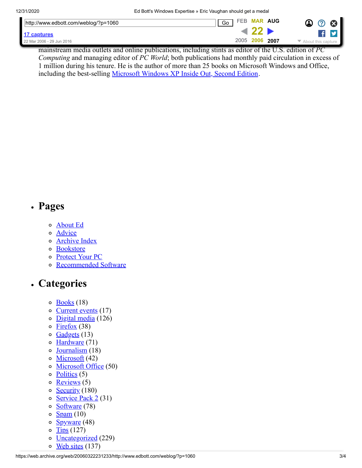|                                                | http://www.edbott.com/weblog/?p=1060 | FEB<br>Go | <b>MAR AUG</b> | ×                                                              |
|------------------------------------------------|--------------------------------------|-----------|----------------|----------------------------------------------------------------|
|                                                | 17 captures                          |           |                |                                                                |
| 2005 2006<br>2007<br>22 Mar 2006 - 29 Jun 2016 |                                      |           |                | $\blacktriangleright$ About this capture $\blacktriangleright$ |

mainstream media outlets and online publications, including stints as editor of the U.S. edition of *PC Computing* and managing editor of *PC World*; both publications had monthly paid circulation in excess of 1 million during his tenure. He is the author of more than 25 books on Microsoft Windows and Office, including the best-selling [Microsoft Windows XP Inside Out, Second Edition](https://web.archive.org/web/20060322231233/http://www.amazon.com/exec/obidos/redirect?path=ASIN/073562044X&link_code=as2&camp=1789&tag=bottcom-20&creative=9325).

### **Pages**

- o [About Ed](https://web.archive.org/web/20060322231233/http://www.edbott.com/weblog/?page_id=988)
- o [Advice](https://web.archive.org/web/20060322231233/http://www.edbott.com/weblog/?page_id=1006)
- [Archive Index](https://web.archive.org/web/20060322231233/http://www.edbott.com/weblog/?page_id=987)
- o [Bookstore](https://web.archive.org/web/20060322231233/http://www.edbott.com/weblog/?page_id=993)
- o [Protect Your PC](https://web.archive.org/web/20060322231233/http://www.edbott.com/weblog/?page_id=1023)
- [Recommended Software](https://web.archive.org/web/20060322231233/http://www.edbott.com/weblog/?page_id=1007)

# **Categories**

- $\circ$  [Books](https://web.archive.org/web/20060322231233/http://www.edbott.com/weblog/?cat=4) (18)
- o [Current events](https://web.archive.org/web/20060322231233/http://www.edbott.com/weblog/?cat=23) (17)
- $\circ$  [Digital media](https://web.archive.org/web/20060322231233/http://www.edbott.com/weblog/?cat=8) (126)
- $\circ$  [Firefox](https://web.archive.org/web/20060322231233/http://www.edbott.com/weblog/?cat=16) (38)
- $\circ$  [Gadgets](https://web.archive.org/web/20060322231233/http://www.edbott.com/weblog/?cat=11) (13)
- $\circ$  [Hardware](https://web.archive.org/web/20060322231233/http://www.edbott.com/weblog/?cat=14) (71)
- o [Journalism](https://web.archive.org/web/20060322231233/http://www.edbott.com/weblog/?cat=21) (18)
- $\circ$  [Microsoft](https://web.archive.org/web/20060322231233/http://www.edbott.com/weblog/?cat=18) (42)
- o [Microsoft Office](https://web.archive.org/web/20060322231233/http://www.edbott.com/weblog/?cat=12) (50)
- $\circ$  [Politics](https://web.archive.org/web/20060322231233/http://www.edbott.com/weblog/?cat=22) (5)
- $\circ$  [Reviews](https://web.archive.org/web/20060322231233/http://www.edbott.com/weblog/?cat=10) (5)
- $\circ$  [Security](https://web.archive.org/web/20060322231233/http://www.edbott.com/weblog/?cat=6) (180)
- $\circ$  [Service Pack 2](https://web.archive.org/web/20060322231233/http://www.edbott.com/weblog/?cat=13) (31)
- $\circ$  [Software](https://web.archive.org/web/20060322231233/http://www.edbott.com/weblog/?cat=7) (78)
- $\circ$  [Spam](https://web.archive.org/web/20060322231233/http://www.edbott.com/weblog/?cat=9)  $(10)$
- [Spyware](https://web.archive.org/web/20060322231233/http://www.edbott.com/weblog/?cat=17) (48)  $\circ$
- o  $Tips(127)$
- $\circ$ [Uncategorized](https://web.archive.org/web/20060322231233/http://www.edbott.com/weblog/?cat=1) (229)
- $\circ$  [Web sites](https://web.archive.org/web/20060322231233/http://www.edbott.com/weblog/?cat=5) (137)